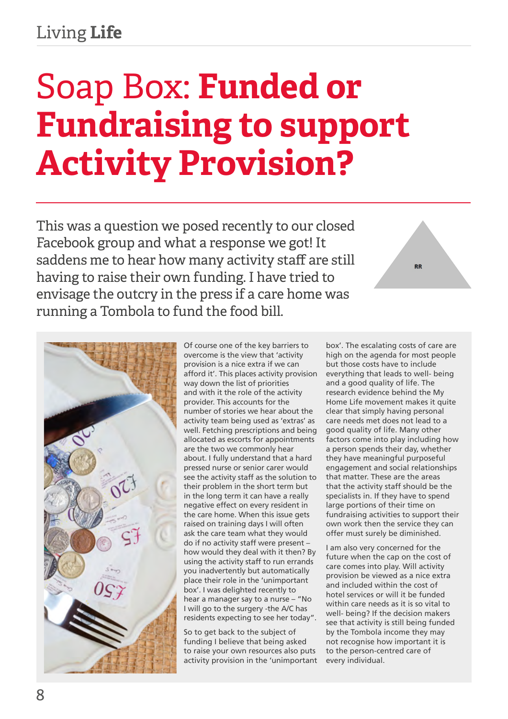## Living **Life**

## Soap Box: **Funded or Fundraising to support Activity Provision?**

This was a question we posed recently to our closed Facebook group and what a response we got! It saddens me to hear how many activity staff are still having to raise their own funding. I have tried to envisage the outcry in the press if a care home was running a Tombola to fund the food bill.



Of course one of the key barriers to overcome is the view that 'activity provision is a nice extra if we can afford it'. This places activity provision way down the list of priorities and with it the role of the activity provider. This accounts for the number of stories we hear about the activity team being used as 'extras' as well. Fetching prescriptions and being allocated as escorts for appointments are the two we commonly hear about. I fully understand that a hard pressed nurse or senior carer would see the activity staff as the solution to their problem in the short term but in the long term it can have a really negative effect on every resident in the care home. When this issue gets raised on training days I will often ask the care team what they would do if no activity staff were present – how would they deal with it then? By using the activity staff to run errands you inadvertently but automatically place their role in the 'unimportant box'. I was delighted recently to hear a manager say to a nurse – "No I will go to the surgery -the A/C has residents expecting to see her today".

So to get back to the subject of funding I believe that being asked to raise your own resources also puts activity provision in the 'unimportant box'. The escalating costs of care are high on the agenda for most people but those costs have to include everything that leads to well- being and a good quality of life. The research evidence behind the My Home Life movement makes it quite clear that simply having personal care needs met does not lead to a good quality of life. Many other factors come into play including how a person spends their day, whether they have meaningful purposeful engagement and social relationships that matter. These are the areas that the activity staff should be the specialists in. If they have to spend large portions of their time on fundraising activities to support their own work then the service they can offer must surely be diminished.

**RR** 

I am also very concerned for the future when the cap on the cost of care comes into play. Will activity provision be viewed as a nice extra and included within the cost of hotel services or will it be funded within care needs as it is so vital to well- being? If the decision makers see that activity is still being funded by the Tombola income they may not recognise how important it is to the person-centred care of every individual.